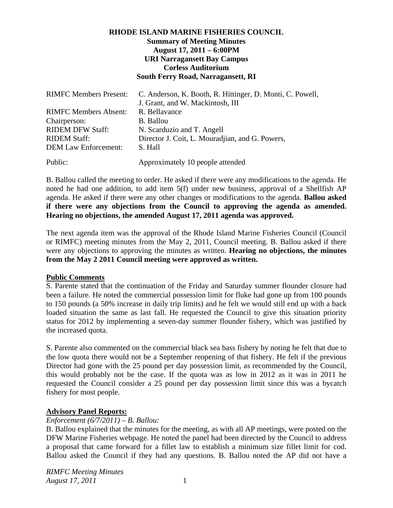# **RHODE ISLAND MARINE FISHERIES COUNCIL Summary of Meeting Minutes August 17, 2011 – 6:00PM URI Narragansett Bay Campus Corless Auditorium South Ferry Road, Narragansett, RI**

| <b>RIMFC Members Present:</b> | C. Anderson, K. Booth, R. Hittinger, D. Monti, C. Powell, |
|-------------------------------|-----------------------------------------------------------|
|                               | J. Grant, and W. Mackintosh, III                          |
| <b>RIMFC Members Absent:</b>  | R. Bellavance                                             |
| Chairperson:                  | B. Ballou                                                 |
| <b>RIDEM DFW Staff:</b>       | N. Scarduzio and T. Angell                                |
| <b>RIDEM Staff:</b>           | Director J. Coit, L. Mouradian, and G. Powers,            |
| <b>DEM Law Enforcement:</b>   | S. Hall                                                   |
| Public:                       | Approximately 10 people attended                          |

B. Ballou called the meeting to order. He asked if there were any modifications to the agenda. He noted he had one addition, to add item 5(f) under new business, approval of a Shellfish AP agenda. He asked if there were any other changes or modifications to the agenda. **Ballou asked if there were any objections from the Council to approving the agenda as amended. Hearing no objections, the amended August 17, 2011 agenda was approved.**

The next agenda item was the approval of the Rhode Island Marine Fisheries Council (Council or RIMFC) meeting minutes from the May 2, 2011, Council meeting. B. Ballou asked if there were any objections to approving the minutes as written. **Hearing no objections, the minutes from the May 2 2011 Council meeting were approved as written.**

# **Public Comments**

S. Parente stated that the continuation of the Friday and Saturday summer flounder closure had been a failure. He noted the commercial possession limit for fluke had gone up from 100 pounds to 150 pounds (a 50% increase in daily trip limits) and he felt we would still end up with a back loaded situation the same as last fall. He requested the Council to give this situation priority status for 2012 by implementing a seven-day summer flounder fishery, which was justified by the increased quota.

S. Parente also commented on the commercial black sea bass fishery by noting he felt that due to the low quota there would not be a September reopening of that fishery. He felt if the previous Director had gone with the 25 pound per day possession limit, as recommended by the Council, this would probably not be the case. If the quota was as low in 2012 as it was in 2011 he requested the Council consider a 25 pound per day possession limit since this was a bycatch fishery for most people.

# **Advisory Panel Reports:**

# *Enforcement (6/7/2011) – B. Ballou:*

B. Ballou explained that the minutes for the meeting, as with all AP meetings, were posted on the DFW Marine Fisheries webpage. He noted the panel had been directed by the Council to address a proposal that came forward for a fillet law to establish a minimum size fillet limit for cod. Ballou asked the Council if they had any questions. B. Ballou noted the AP did not have a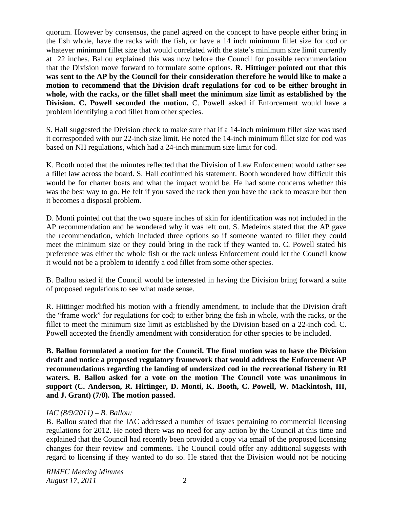quorum. However by consensus, the panel agreed on the concept to have people either bring in the fish whole, have the racks with the fish, or have a 14 inch minimum fillet size for cod or whatever minimum fillet size that would correlated with the state's minimum size limit currently at 22 inches. Ballou explained this was now before the Council for possible recommendation that the Division move forward to formulate some options. **R. Hittinger pointed out that this was sent to the AP by the Council for their consideration therefore he would like to make a motion to recommend that the Division draft regulations for cod to be either brought in whole, with the racks, or the fillet shall meet the minimum size limit as established by the Division. C. Powell seconded the motion.** C. Powell asked if Enforcement would have a problem identifying a cod fillet from other species.

S. Hall suggested the Division check to make sure that if a 14-inch minimum fillet size was used it corresponded with our 22-inch size limit. He noted the 14-inch minimum fillet size for cod was based on NH regulations, which had a 24-inch minimum size limit for cod.

K. Booth noted that the minutes reflected that the Division of Law Enforcement would rather see a fillet law across the board. S. Hall confirmed his statement. Booth wondered how difficult this would be for charter boats and what the impact would be. He had some concerns whether this was the best way to go. He felt if you saved the rack then you have the rack to measure but then it becomes a disposal problem.

D. Monti pointed out that the two square inches of skin for identification was not included in the AP recommendation and he wondered why it was left out. S. Medeiros stated that the AP gave the recommendation, which included three options so if someone wanted to fillet they could meet the minimum size or they could bring in the rack if they wanted to. C. Powell stated his preference was either the whole fish or the rack unless Enforcement could let the Council know it would not be a problem to identify a cod fillet from some other species.

B. Ballou asked if the Council would be interested in having the Division bring forward a suite of proposed regulations to see what made sense.

R. Hittinger modified his motion with a friendly amendment, to include that the Division draft the "frame work" for regulations for cod; to either bring the fish in whole, with the racks, or the fillet to meet the minimum size limit as established by the Division based on a 22-inch cod. C. Powell accepted the friendly amendment with consideration for other species to be included.

**B. Ballou formulated a motion for the Council. The final motion was to have the Division draft and notice a proposed regulatory framework that would address the Enforcement AP recommendations regarding the landing of undersized cod in the recreational fishery in RI waters. B. Ballou asked for a vote on the motion The Council vote was unanimous in support (C. Anderson, R. Hittinger, D. Monti, K. Booth, C. Powell, W. Mackintosh, III, and J. Grant) (7/0). The motion passed.**

# *IAC (8/9/2011) – B. Ballou:*

B. Ballou stated that the IAC addressed a number of issues pertaining to commercial licensing regulations for 2012. He noted there was no need for any action by the Council at this time and explained that the Council had recently been provided a copy via email of the proposed licensing changes for their review and comments. The Council could offer any additional suggests with regard to licensing if they wanted to do so. He stated that the Division would not be noticing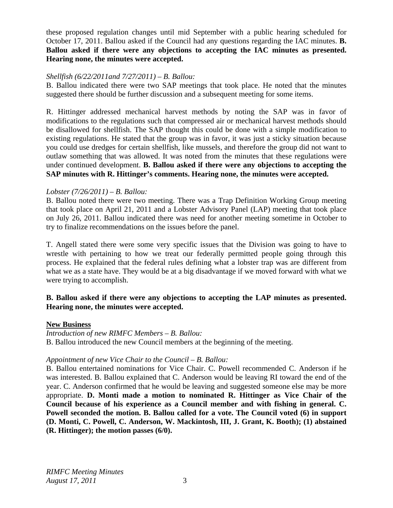these proposed regulation changes until mid September with a public hearing scheduled for October 17, 2011. Ballou asked if the Council had any questions regarding the IAC minutes. **B. Ballou asked if there were any objections to accepting the IAC minutes as presented. Hearing none, the minutes were accepted.** 

## *Shellfish (6/22/2011and 7/27/2011) – B. Ballou:*

B. Ballou indicated there were two SAP meetings that took place. He noted that the minutes suggested there should be further discussion and a subsequent meeting for some items.

R. Hittinger addressed mechanical harvest methods by noting the SAP was in favor of modifications to the regulations such that compressed air or mechanical harvest methods should be disallowed for shellfish. The SAP thought this could be done with a simple modification to existing regulations. He stated that the group was in favor, it was just a sticky situation because you could use dredges for certain shellfish, like mussels, and therefore the group did not want to outlaw something that was allowed. It was noted from the minutes that these regulations were under continued development. **B. Ballou asked if there were any objections to accepting the SAP minutes with R. Hittinger's comments. Hearing none, the minutes were accepted.**

### *Lobster (7/26/2011) – B. Ballou:*

B. Ballou noted there were two meeting. There was a Trap Definition Working Group meeting that took place on April 21, 2011 and a Lobster Advisory Panel (LAP) meeting that took place on July 26, 2011. Ballou indicated there was need for another meeting sometime in October to try to finalize recommendations on the issues before the panel.

T. Angell stated there were some very specific issues that the Division was going to have to wrestle with pertaining to how we treat our federally permitted people going through this process. He explained that the federal rules defining what a lobster trap was are different from what we as a state have. They would be at a big disadvantage if we moved forward with what we were trying to accomplish.

# **B. Ballou asked if there were any objections to accepting the LAP minutes as presented. Hearing none, the minutes were accepted.**

### **New Business**

*Introduction of new RIMFC Members – B. Ballou:* B. Ballou introduced the new Council members at the beginning of the meeting.

### *Appointment of new Vice Chair to the Council – B. Ballou:*

B. Ballou entertained nominations for Vice Chair. C. Powell recommended C. Anderson if he was interested. B. Ballou explained that C. Anderson would be leaving RI toward the end of the year. C. Anderson confirmed that he would be leaving and suggested someone else may be more appropriate. **D. Monti made a motion to nominated R. Hittinger as Vice Chair of the Council because of his experience as a Council member and with fishing in general. C. Powell seconded the motion. B. Ballou called for a vote. The Council voted (6) in support (D. Monti, C. Powell, C. Anderson, W. Mackintosh, III, J. Grant, K. Booth); (1) abstained (R. Hittinger); the motion passes (6/0).**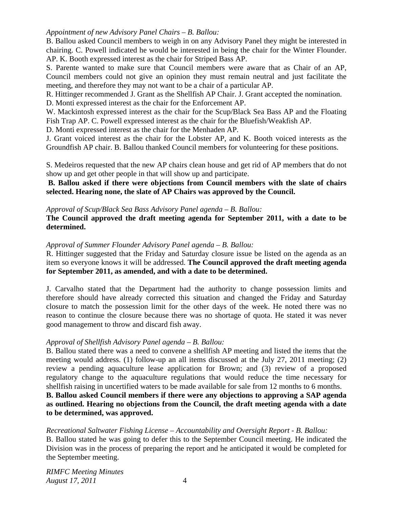## *Appointment of new Advisory Panel Chairs – B. Ballou:*

B. Ballou asked Council members to weigh in on any Advisory Panel they might be interested in chairing. C. Powell indicated he would be interested in being the chair for the Winter Flounder. AP. K. Booth expressed interest as the chair for Striped Bass AP.

S. Parente wanted to make sure that Council members were aware that as Chair of an AP, Council members could not give an opinion they must remain neutral and just facilitate the meeting, and therefore they may not want to be a chair of a particular AP.

R. Hittinger recommended J. Grant as the Shellfish AP Chair. J. Grant accepted the nomination.

D. Monti expressed interest as the chair for the Enforcement AP.

W. Mackintosh expressed interest as the chair for the Scup/Black Sea Bass AP and the Floating Fish Trap AP. C. Powell expressed interest as the chair for the Bluefish/Weakfish AP.

D. Monti expressed interest as the chair for the Menhaden AP.

J. Grant voiced interest as the chair for the Lobster AP, and K. Booth voiced interests as the Groundfish AP chair. B. Ballou thanked Council members for volunteering for these positions.

S. Medeiros requested that the new AP chairs clean house and get rid of AP members that do not show up and get other people in that will show up and participate.

 **B. Ballou asked if there were objections from Council members with the slate of chairs selected. Hearing none, the slate of AP Chairs was approved by the Council.** 

## *Approval of Scup/Black Sea Bass Advisory Panel agenda – B. Ballou:*

**The Council approved the draft meeting agenda for September 2011, with a date to be determined.** 

## *Approval of Summer Flounder Advisory Panel agenda – B. Ballou:*

R. Hittinger suggested that the Friday and Saturday closure issue be listed on the agenda as an item so everyone knows it will be addressed. **The Council approved the draft meeting agenda for September 2011, as amended, and with a date to be determined.**

J. Carvalho stated that the Department had the authority to change possession limits and therefore should have already corrected this situation and changed the Friday and Saturday closure to match the possession limit for the other days of the week. He noted there was no reason to continue the closure because there was no shortage of quota. He stated it was never good management to throw and discard fish away.

# *Approval of Shellfish Advisory Panel agenda – B. Ballou:*

B. Ballou stated there was a need to convene a shellfish AP meeting and listed the items that the meeting would address. (1) follow-up an all items discussed at the July 27, 2011 meeting; (2) review a pending aquaculture lease application for Brown; and (3) review of a proposed regulatory change to the aquaculture regulations that would reduce the time necessary for shellfish raising in uncertified waters to be made available for sale from 12 months to 6 months.

# **B. Ballou asked Council members if there were any objections to approving a SAP agenda as outlined. Hearing no objections from the Council, the draft meeting agenda with a date to be determined, was approved.**

*Recreational Saltwater Fishing License – Accountability and Oversight Report - B. Ballou:* 

B. Ballou stated he was going to defer this to the September Council meeting. He indicated the Division was in the process of preparing the report and he anticipated it would be completed for the September meeting.

*RIMFC Meeting Minutes August 17, 2011* 4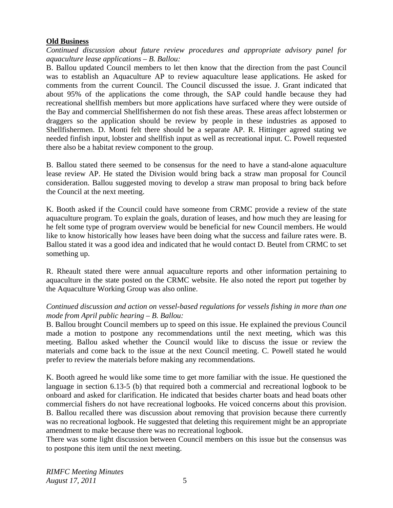#### **Old Business**

*Continued discussion about future review procedures and appropriate advisory panel for aquaculture lease applications – B. Ballou:* 

B. Ballou updated Council members to let then know that the direction from the past Council was to establish an Aquaculture AP to review aquaculture lease applications. He asked for comments from the current Council. The Council discussed the issue. J. Grant indicated that about 95% of the applications the come through, the SAP could handle because they had recreational shellfish members but more applications have surfaced where they were outside of the Bay and commercial Shellfishermen do not fish these areas. These areas affect lobstermen or draggers so the application should be review by people in these industries as apposed to Shellfishermen. D. Monti felt there should be a separate AP. R. Hittinger agreed stating we needed finfish input, lobster and shellfish input as well as recreational input. C. Powell requested there also be a habitat review component to the group.

B. Ballou stated there seemed to be consensus for the need to have a stand-alone aquaculture lease review AP. He stated the Division would bring back a straw man proposal for Council consideration. Ballou suggested moving to develop a straw man proposal to bring back before the Council at the next meeting.

K. Booth asked if the Council could have someone from CRMC provide a review of the state aquaculture program. To explain the goals, duration of leases, and how much they are leasing for he felt some type of program overview would be beneficial for new Council members. He would like to know historically how leases have been doing what the success and failure rates were. B. Ballou stated it was a good idea and indicated that he would contact D. Beutel from CRMC to set something up.

R. Rheault stated there were annual aquaculture reports and other information pertaining to aquaculture in the state posted on the CRMC website. He also noted the report put together by the Aquaculture Working Group was also online.

# *Continued discussion and action on vessel-based regulations for vessels fishing in more than one mode from April public hearing – B. Ballou:*

B. Ballou brought Council members up to speed on this issue. He explained the previous Council made a motion to postpone any recommendations until the next meeting, which was this meeting. Ballou asked whether the Council would like to discuss the issue or review the materials and come back to the issue at the next Council meeting. C. Powell stated he would prefer to review the materials before making any recommendations.

K. Booth agreed he would like some time to get more familiar with the issue. He questioned the language in section 6.13-5 (b) that required both a commercial and recreational logbook to be onboard and asked for clarification. He indicated that besides charter boats and head boats other commercial fishers do not have recreational logbooks. He voiced concerns about this provision. B. Ballou recalled there was discussion about removing that provision because there currently was no recreational logbook. He suggested that deleting this requirement might be an appropriate amendment to make because there was no recreational logbook.

There was some light discussion between Council members on this issue but the consensus was to postpone this item until the next meeting.